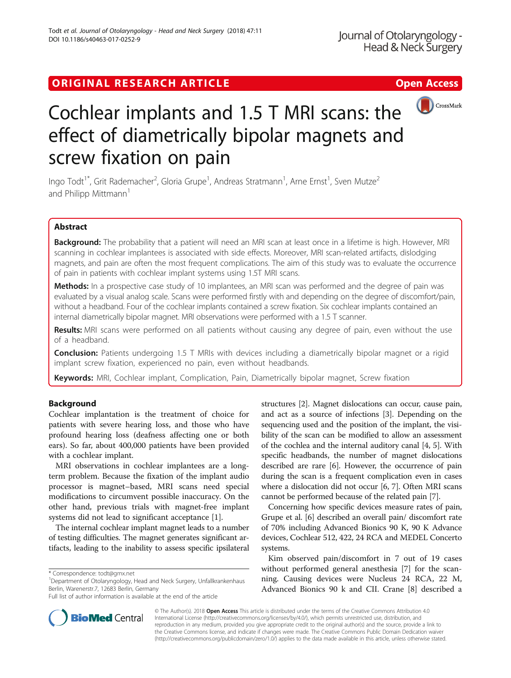# ORIGINAL RESEARCH ARTICLE **External of the Contract Contract Contract Contract Contract Contract Contract Contract Contract Contract Contract Contract Contract Contract Contract Contract Contract Contract Contract Contract**



# Cochlear implants and 1.5 T MRI scans: the effect of diametrically bipolar magnets and screw fixation on pain

Ingo Todt<sup>1\*</sup>, Grit Rademacher<sup>2</sup>, Gloria Grupe<sup>1</sup>, Andreas Stratmann<sup>1</sup>, Arne Ernst<sup>1</sup>, Sven Mutze<sup>2</sup> and Philipp Mittmann<sup>1</sup>

## Abstract

Background: The probability that a patient will need an MRI scan at least once in a lifetime is high. However, MRI scanning in cochlear implantees is associated with side effects. Moreover, MRI scan-related artifacts, dislodging magnets, and pain are often the most frequent complications. The aim of this study was to evaluate the occurrence of pain in patients with cochlear implant systems using 1.5T MRI scans.

Methods: In a prospective case study of 10 implantees, an MRI scan was performed and the degree of pain was evaluated by a visual analog scale. Scans were performed firstly with and depending on the degree of discomfort/pain, without a headband. Four of the cochlear implants contained a screw fixation. Six cochlear implants contained an internal diametrically bipolar magnet. MRI observations were performed with a 1.5 T scanner.

Results: MRI scans were performed on all patients without causing any degree of pain, even without the use of a headband.

**Conclusion:** Patients undergoing 1.5 T MRIs with devices including a diametrically bipolar magnet or a rigid implant screw fixation, experienced no pain, even without headbands.

Keywords: MRI, Cochlear implant, Complication, Pain, Diametrically bipolar magnet, Screw fixation

### Background

Cochlear implantation is the treatment of choice for patients with severe hearing loss, and those who have profound hearing loss (deafness affecting one or both ears). So far, about 400,000 patients have been provided with a cochlear implant.

MRI observations in cochlear implantees are a longterm problem. Because the fixation of the implant audio processor is magnet–based, MRI scans need special modifications to circumvent possible inaccuracy. On the other hand, previous trials with magnet-free implant systems did not lead to significant acceptance [[1\]](#page-2-0).

The internal cochlear implant magnet leads to a number of testing difficulties. The magnet generates significant artifacts, leading to the inability to assess specific ipsilateral

<sup>1</sup>Department of Otolaryngology, Head and Neck Surgery, Unfallkrankenhaus Berlin, Warenerstr.7, 12683 Berlin, Germany

structures [\[2\]](#page-2-0). Magnet dislocations can occur, cause pain, and act as a source of infections [\[3](#page-2-0)]. Depending on the sequencing used and the position of the implant, the visibility of the scan can be modified to allow an assessment of the cochlea and the internal auditory canal [[4, 5\]](#page-3-0). With specific headbands, the number of magnet dislocations described are rare [\[6](#page-3-0)]. However, the occurrence of pain during the scan is a frequent complication even in cases where a dislocation did not occur [[6, 7\]](#page-3-0). Often MRI scans cannot be performed because of the related pain [[7](#page-3-0)].

Concerning how specific devices measure rates of pain, Grupe et al. [[6\]](#page-3-0) described an overall pain/ discomfort rate of 70% including Advanced Bionics 90 K, 90 K Advance devices, Cochlear 512, 422, 24 RCA and MEDEL Concerto systems.

Kim observed pain/discomfort in 7 out of 19 cases without performed general anesthesia [\[7\]](#page-3-0) for the scanning. Causing devices were Nucleus 24 RCA, 22 M, Advanced Bionics 90 k and CII. Crane [[8](#page-3-0)] described a



© The Author(s). 2018 Open Access This article is distributed under the terms of the Creative Commons Attribution 4.0 International License [\(http://creativecommons.org/licenses/by/4.0/](http://creativecommons.org/licenses/by/4.0/)), which permits unrestricted use, distribution, and reproduction in any medium, provided you give appropriate credit to the original author(s) and the source, provide a link to the Creative Commons license, and indicate if changes were made. The Creative Commons Public Domain Dedication waiver [\(http://creativecommons.org/publicdomain/zero/1.0/](http://creativecommons.org/publicdomain/zero/1.0/)) applies to the data made available in this article, unless otherwise stated.

<sup>\*</sup> Correspondence: [todt@gmx.net](mailto:todt@gmx.net) <sup>1</sup>

Full list of author information is available at the end of the article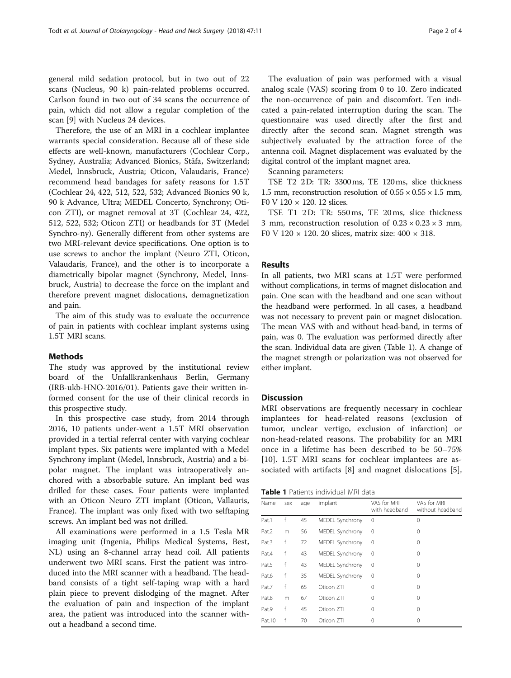general mild sedation protocol, but in two out of 22 scans (Nucleus, 90 k) pain-related problems occurred. Carlson found in two out of 34 scans the occurrence of pain, which did not allow a regular completion of the scan [[9\]](#page-3-0) with Nucleus 24 devices.

Therefore, the use of an MRI in a cochlear implantee warrants special consideration. Because all of these side effects are well-known, manufacturers (Cochlear Corp., Sydney, Australia; Advanced Bionics, Stäfa, Switzerland; Medel, Innsbruck, Austria; Oticon, Valaudaris, France) recommend head bandages for safety reasons for 1.5T (Cochlear 24, 422, 512, 522, 532; Advanced Bionics 90 k, 90 k Advance, Ultra; MEDEL Concerto, Synchrony; Oticon ZTI), or magnet removal at 3T (Cochlear 24, 422, 512, 522, 532; Oticon ZTI) or headbands for 3T (Medel Synchro-ny). Generally different from other systems are two MRI-relevant device specifications. One option is to use screws to anchor the implant (Neuro ZTI, Oticon, Valaudaris, France), and the other is to incorporate a diametrically bipolar magnet (Synchrony, Medel, Innsbruck, Austria) to decrease the force on the implant and therefore prevent magnet dislocations, demagnetization and pain.

The aim of this study was to evaluate the occurrence of pain in patients with cochlear implant systems using 1.5T MRI scans.

#### Methods

The study was approved by the institutional review board of the Unfallkrankenhaus Berlin, Germany (IRB-ukb-HNO-2016/01). Patients gave their written informed consent for the use of their clinical records in this prospective study.

In this prospective case study, from 2014 through 2016, 10 patients under-went a 1.5T MRI observation provided in a tertial referral center with varying cochlear implant types. Six patients were implanted with a Medel Synchrony implant (Medel, Innsbruck, Austria) and a bipolar magnet. The implant was intraoperatively anchored with a absorbable suture. An implant bed was drilled for these cases. Four patients were implanted with an Oticon Neuro ZTI implant (Oticon, Vallauris, France). The implant was only fixed with two selftaping screws. An implant bed was not drilled.

All examinations were performed in a 1.5 Tesla MR imaging unit (Ingenia, Philips Medical Systems, Best, NL) using an 8-channel array head coil. All patients underwent two MRI scans. First the patient was introduced into the MRI scanner with a headband. The headband consists of a tight self-taping wrap with a hard plain piece to prevent dislodging of the magnet. After the evaluation of pain and inspection of the implant area, the patient was introduced into the scanner without a headband a second time.

The evaluation of pain was performed with a visual analog scale (VAS) scoring from 0 to 10. Zero indicated the non-occurrence of pain and discomfort. Ten indicated a pain-related interruption during the scan. The questionnaire was used directly after the first and directly after the second scan. Magnet strength was subjectively evaluated by the attraction force of the antenna coil. Magnet displacement was evaluated by the digital control of the implant magnet area.

Scanning parameters:

TSE T2 2D: TR: 3300ms, TE 120ms, slice thickness 1.5 mm, reconstruction resolution of  $0.55 \times 0.55 \times 1.5$  mm, F0 V 120 × 120. 12 slices.

TSE T1 2 D: TR: 550ms, TE 20ms, slice thickness 3 mm, reconstruction resolution of  $0.23 \times 0.23 \times 3$  mm, F0 V 120  $\times$  120. 20 slices, matrix size: 400  $\times$  318.

#### Results

In all patients, two MRI scans at 1.5T were performed without complications, in terms of magnet dislocation and pain. One scan with the headband and one scan without the headband were performed. In all cases, a headband was not necessary to prevent pain or magnet dislocation. The mean VAS with and without head-band, in terms of pain, was 0. The evaluation was performed directly after the scan. Individual data are given (Table 1). A change of the magnet strength or polarization was not observed for either implant.

#### **Discussion**

MRI observations are frequently necessary in cochlear implantees for head-related reasons (exclusion of tumor, unclear vertigo, exclusion of infarction) or non-head-related reasons. The probability for an MRI once in a lifetime has been described to be 50–75% [[10\]](#page-3-0). 1.5T MRI scans for cochlear implantees are associated with artifacts [\[8](#page-3-0)] and magnet dislocations [\[5](#page-3-0)],

Table 1 Patients individual MRI data

| Name             | sex | age | implant         | VAS for MRI<br>with headband | VAS for MRI<br>without headband |
|------------------|-----|-----|-----------------|------------------------------|---------------------------------|
| Pat.1            | f   | 45  | MEDEL Synchrony | $\Omega$                     | 0                               |
| Pat.2            | m   | 56  | MEDEL Synchrony | 0                            | 0                               |
| Pat <sub>3</sub> | f   | 72  | MEDEL Synchrony | $\Omega$                     | $\Omega$                        |
| Pat.4            | f   | 43  | MEDEL Synchrony | $\Omega$                     | $\Omega$                        |
| Pat.5            | f   | 43  | MEDEL Synchrony | 0                            | 0                               |
| Pat.6            | f   | 35  | MEDEL Synchrony | $\Omega$                     | 0                               |
| Pat.7            | f   | 65  | Oticon 7TI      | 0                            | $\Omega$                        |
| Pat.8            | m   | 67  | Oticon 7TI      | $\Omega$                     | $\Omega$                        |
| Pat.9            | f   | 45  | Oticon ZTI      | $\Omega$                     | $\Omega$                        |
| Pat.10           | f   | 70  | Oticon ZTI      | 0                            | $\Omega$                        |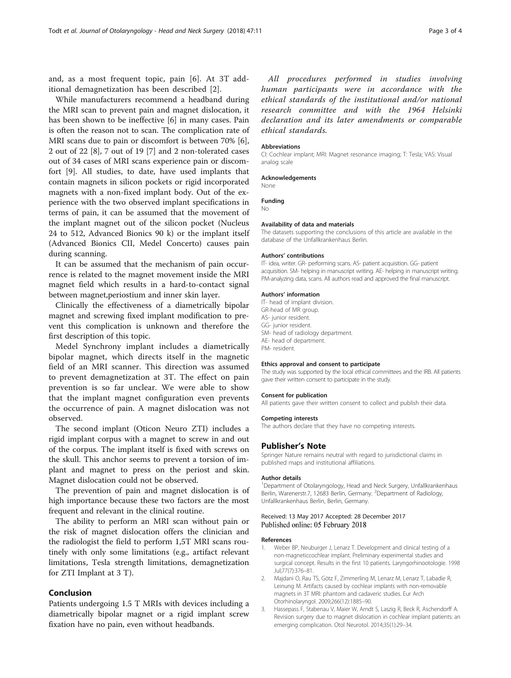<span id="page-2-0"></span>and, as a most frequent topic, pain [[6](#page-3-0)]. At 3T additional demagnetization has been described [2].

While manufacturers recommend a headband during the MRI scan to prevent pain and magnet dislocation, it has been shown to be ineffective [\[6](#page-3-0)] in many cases. Pain is often the reason not to scan. The complication rate of MRI scans due to pain or discomfort is between 70% [\[6](#page-3-0)], 2 out of 22 [[8](#page-3-0)], 7 out of 19 [[7\]](#page-3-0) and 2 non-tolerated cases out of 34 cases of MRI scans experience pain or discomfort [9]. All studies, to date, have used implants that contain magnets in silicon pockets or rigid incorporated magnets with a non-fixed implant body. Out of the experience with the two observed implant specifications in terms of pain, it can be assumed that the movement of the implant magnet out of the silicon pocket (Nucleus 24 to 512, Advanced Bionics 90 k) or the implant itself (Advanced Bionics CII, Medel Concerto) causes pain during scanning.

It can be assumed that the mechanism of pain occurrence is related to the magnet movement inside the MRI magnet field which results in a hard-to-contact signal between magnet,periostium and inner skin layer.

Clinically the effectiveness of a diametrically bipolar magnet and screwing fixed implant modification to prevent this complication is unknown and therefore the first description of this topic.

Medel Synchrony implant includes a diametrically bipolar magnet, which directs itself in the magnetic field of an MRI scanner. This direction was assumed to prevent demagnetization at 3T. The effect on pain prevention is so far unclear. We were able to show that the implant magnet configuration even prevents the occurrence of pain. A magnet dislocation was not observed.

The second implant (Oticon Neuro ZTI) includes a rigid implant corpus with a magnet to screw in and out of the corpus. The implant itself is fixed with screws on the skull. This anchor seems to prevent a torsion of implant and magnet to press on the periost and skin. Magnet dislocation could not be observed.

The prevention of pain and magnet dislocation is of high importance because these two factors are the most frequent and relevant in the clinical routine.

The ability to perform an MRI scan without pain or the risk of magnet dislocation offers the clinician and the radiologist the field to perform 1,5T MRI scans routinely with only some limitations (e.g., artifact relevant limitations, Tesla strength limitations, demagnetization for ZTI Implant at 3 T).

#### Conclusion

Patients undergoing 1.5 T MRIs with devices including a diametrically bipolar magnet or a rigid implant screw fixation have no pain, even without headbands.

All procedures performed in studies involving human participants were in accordance with the ethical standards of the institutional and/or national research committee and with the 1964 Helsinki declaration and its later amendments or comparable ethical standards.

#### Abbreviations

CI: Cochlear implant; MRI: Magnet resonance imaging; T: Tesla; VAS: Visual analog scale

#### Acknowledgements

None

Funding

#### No

#### Availability of data and materials

The datasets supporting the conclusions of this article are available in the database of the Unfallkrankenhaus Berlin.

#### Authors' contributions

IT- idea, writer. GR- performing scans. AS- patient acquisition. GG- patient acquisition. SM- helping in manuscript writing. AE- helping in manuscript writing. PM-analyzing data, scans. All authors read and approved the final manuscript.

#### Authors' information

IT- head of implant division. GR-head of MR group. AS- junior resident. GG- junior resident. SM- head of radiology department. AE- head of department. PM- resident.

#### Ethics approval and consent to participate

The study was supported by the local ethical committees and the IRB. All patients gave their written consent to participate in the study.

#### Consent for publication

All patients gave their written consent to collect and publish their data.

Competing interests The authors declare that they have no competing interests.

#### Publisher's Note

Springer Nature remains neutral with regard to jurisdictional claims in published maps and institutional affiliations.

#### Author details

<sup>1</sup>Department of Otolaryngology, Head and Neck Surgery, Unfallkrankenhaus Berlin, Warenerstr.7, 12683 Berlin, Germany. <sup>2</sup>Department of Radiology Unfallkrankenhaus Berlin, Berlin, Germany.

#### Received: 13 May 2017 Accepted: 28 December 2017 Published online: 05 February 2018

#### References

- 1. Weber BP, Neuburger J, Lenarz T. Development and clinical testing of a non-magneticcochlear implant. Preliminary experimental studies and surgical concept. Results in the first 10 patients. Laryngorhinootologie. 1998 Jul;77(7):376–81.
- 2. Majdani O, Rau TS, Götz F, Zimmerling M, Lenarz M, Lenarz T, Labadie R, Leinung M. Artifacts caused by cochlear implants with non-removable magnets in 3T MRI: phantom and cadaveric studies. Eur Arch Otorhinolaryngol. 2009;266(12):1885–90.
- 3. Hassepass F, Stabenau V, Maier W, Arndt S, Laszig R, Beck R, Aschendorff A. Revision surgery due to magnet dislocation in cochlear implant patients: an emerging complication. Otol Neurotol. 2014;35(1):29–34.